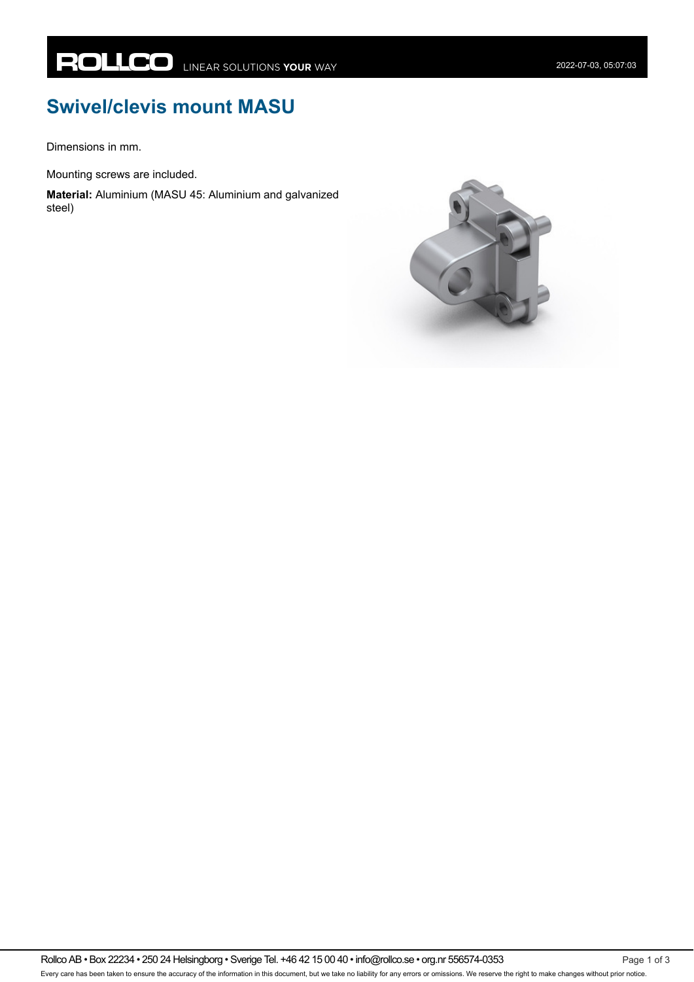## **Swivel/clevis mount MASU**

Dimensions in mm.

Mounting screws are included.

**Material:** Aluminium (MASU 45: Aluminium and galvanized steel)

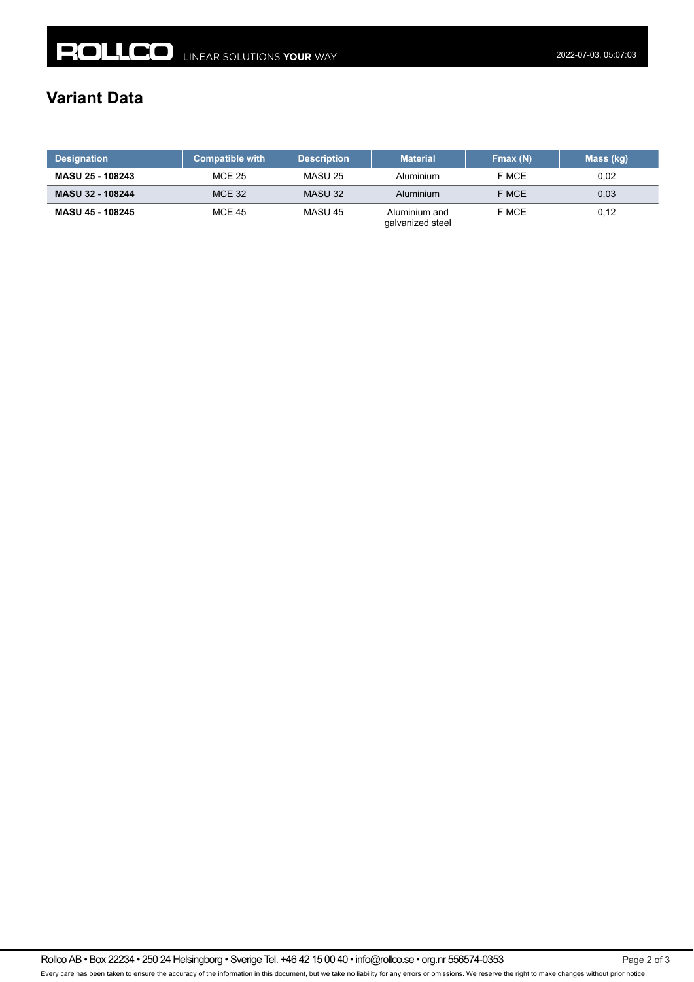## **Variant Data**

| <b>Designation</b>      | <b>Compatible with</b> | <b>Description</b> | <b>Material</b>                   | Fmax (N) | Mass (kg) |
|-------------------------|------------------------|--------------------|-----------------------------------|----------|-----------|
| <b>MASU 25 - 108243</b> | <b>MCE 25</b>          | MASU 25            | Aluminium                         | F MCE    | 0.02      |
| <b>MASU 32 - 108244</b> | <b>MCE 32</b>          | MASU 32            | Aluminium                         | F MCE    | 0,03      |
| MASU 45 - 108245        | <b>MCE 45</b>          | MASU 45            | Aluminium and<br>galvanized steel | F MCE    | 0,12      |

Rollco AB • Box 22234 • 250 24 Helsingborg • Sverige Tel. +46 42 15 00 40 • info@rollco.se • org.nr 556574-0353 Page 2 of 3